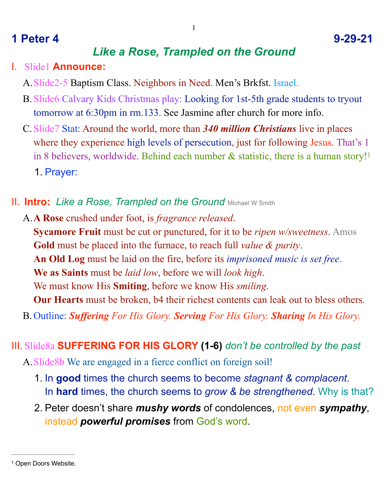# **1 Peter 4 9-29-21**

# <span id="page-0-1"></span>*Like a Rose, Trampled on the Ground*

#### I. Slide1 **Announce:**

- A.Slide2-5 Baptism Class. Neighbors in Need. Men's Brkfst. Israel.
- B.Slide6 Calvary Kids Christmas play: Looking for 1st-5th grade students to tryout tomorrow at 6:30pm in rm.133. See Jasmine after church for more info.
- C.Slide7 Stat: Around the world, more than *340 million Christians* live in places where they experience high levels of persecution, just for following Jesus. That's 1 in 8 believers, worldwide. Behind each number  $\&$  statistic, there is a human story!<sup>[1](#page-0-0)</sup> 1. Prayer:
- **II. Intro:** Like a Rose, Trampled on the Ground Michael W Smith
	- A.**A Rose** crushed under foot, is *fragrance released*. **Sycamore Fruit** must be cut or punctured, for it to be *ripen w/sweetness*. Amos **Gold** must be placed into the furnace, to reach full *value & purity*. **An Old Log** must be laid on the fire, before its *imprisoned music is set free*. **We as Saints** must be *laid low*, before we will *look high*. We must know His **Smiting**, before we know His *smiling*. **Our Hearts** must be broken, b4 their richest contents can leak out to bless others. B.Outline: *Suffering For His Glory. Serving For His Glory. Sharing In His Glory.*
- III. Slide8a **SUFFERING FOR HIS GLORY (1-6)** *don't be controlled by the past*
	- A.Slide8b We are engaged in a fierce conflict on foreign soil!
		- 1. In **good** times the church seems to become *stagnant & complacent*. In **hard** times, the church seems to *grow & be strengthened*. Why is that?
		- 2. Peter doesn't share *mushy words* of condolences, not even *sympathy*, instead *powerful promises* from God's word.

<span id="page-0-0"></span><sup>&</sup>lt;sup>[1](#page-0-1)</sup> Open Doors Website.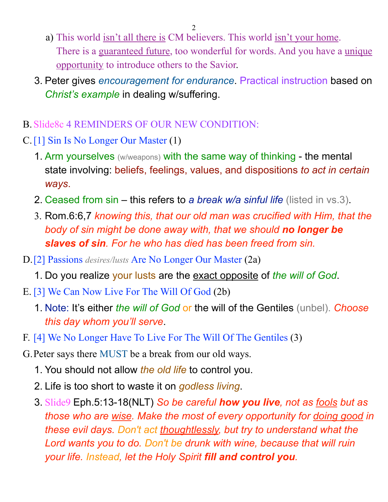- a) This world isn't all there is CM believers. This world isn't your home. There is a guaranteed future, too wonderful for words. And you have a unique opportunity to introduce others to the Savior.
- 3. Peter gives *encouragement for endurance*. Practical instruction based on *Christ's example* in dealing w/suffering.
- B. Slide8c 4 REMINDERS OF OUR NEW CONDITION.
- C.[1] Sin Is No Longer Our Master (1)
	- 1. Arm yourselves (w/weapons) with the same way of thinking the mental state involving: beliefs, feelings, values, and dispositions *to act in certain ways*.
	- 2. Ceased from sin this refers to *a break w/a sinful life* (listed in vs.3).
	- 3. Rom.6:6,7 *knowing this, that our old man was crucified with Him, that the body of sin might be done away with, that we should no longer be slaves of sin. For he who has died has been freed from sin.*
- D.[2] Passions *desires/lusts* Are No Longer Our Master (2a)
	- 1. Do you realize your lusts are the exact opposite of *the will of God*.
- E. [3] We Can Now Live For The Will Of God (2b)
	- 1. Note: It's either *the will of God* or the will of the Gentiles (unbel). *Choose this day whom you'll serve*.
- F. [4] We No Longer Have To Live For The Will Of The Gentiles (3)
- G.Peter says there MUST be a break from our old ways.
	- 1. You should not allow *the old life* to control you.
	- 2. Life is too short to waste it on *godless living*.
	- 3. Slide9 Eph.5:13-18(NLT) *So be careful how you live, not as fools but as those who are wise. Make the most of every opportunity for doing good in these evil days. Don't act thoughtlessly, but try to understand what the Lord wants you to do. Don't be drunk with wine, because that will ruin your life. Instead, let the Holy Spirit fill and control you.*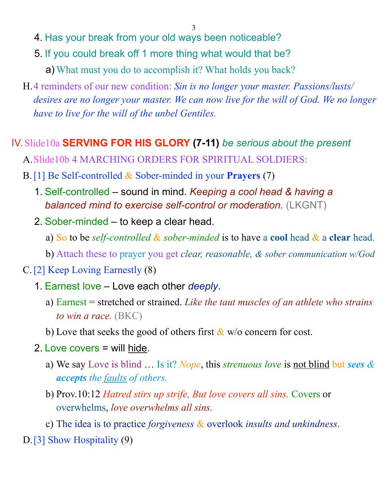- 4. Has your break from your old ways been noticeable?
- 5. If you could break off 1 more thing what would that be?
	- a) What must you do to accomplish it? What holds you back?
- H.4 reminders of our new condition: *Sin is no longer your master. Passions/lusts/ desires are no longer your master. We can now live for the will of God. We no longer have to live for the will of the unbel Gentiles.*

# IV. Slide10a **SERVING FOR HIS GLORY (7-11)** *be serious about the present*

- A.Slide10b 4 MARCHING ORDERS FOR SPIRITUAL SOLDIERS:
- B.[1] Be Self-controlled & Sober-minded in your **Prayers** (7)
	- 1. Self-controlled sound in mind. *Keeping a cool head & having a balanced mind to exercise self-control or moderation.* (LKGNT)
	- 2. Sober-minded to keep a clear head.
		- a) So to be *self-controlled* & *sober-minded* is to have a **cool** head & a **clear** head.
		- b) Attach these to prayer you get *clear, reasonable, & sober communication w/God*
- C.[2] Keep Loving Earnestly (8)
	- 1. Earnest love Love each other *deeply*.
		- a) Earnest = stretched or strained. *Like the taut muscles of an athlete who strains to win a race.* (BKC)
		- b) Love that seeks the good of others first  $\&$  w/o concern for cost.
	- 2. Love covers = will hide.
		- a) We say Love is blind … Is it? *Nope*, this *strenuous love* is not blind but *sees & accepts the faults of others.*
		- b) Prov.10:12 *Hatred stirs up strife, But love covers all sins.* Covers or overwhelms, *love overwhelms all sins.*
		- c) The idea is to practice *forgiveness* & overlook *insults and unkindness*.
- D.[3] Show Hospitality (9)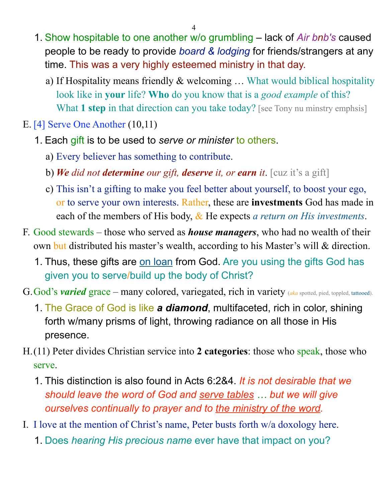- 1. Show hospitable to one another w/o grumbling lack of *Air bnb's* caused people to be ready to provide *board & lodging* for friends/strangers at any time. This was a very highly esteemed ministry in that day.
	- a) If Hospitality means friendly & welcoming … What would biblical hospitality look like in **your** life? **Who** do you know that is a *good example* of this? What **1 step** in that direction can you take today? [see Tony nu minstry emphsis]
- E. [4] Serve One Another (10,11)
	- 1. Each gift is to be used to *serve or minister* to others.
		- a) Every believer has something to contribute.
		- b) *We did not determine our gift, deserve it, or earn it*. [cuz it's a gift]
		- c) This isn't a gifting to make you feel better about yourself, to boost your ego, or to serve your own interests. Rather, these are **investments** God has made in each of the members of His body, & He expects *a return on His investments*.
- F. Good stewards those who served as *house managers*, who had no wealth of their own but distributed his master's wealth, according to his Master's will & direction.
	- 1. Thus, these gifts are on loan from God. Are you using the gifts God has given you to serve/build up the body of Christ?
- G. God's **varied** grace many colored, variegated, rich in variety (*aka* spotted, pied, toppled, tattooed).
	- 1. The Grace of God is like *a diamond*, multifaceted, rich in color, shining forth w/many prisms of light, throwing radiance on all those in His presence.
- H.(11) Peter divides Christian service into **2 categories**: those who speak, those who serve.
	- 1. This distinction is also found in Acts 6:2&4. *It is not desirable that we should leave the word of God and serve tables … but we will give ourselves continually to prayer and to the ministry of the word.*
- I. I love at the mention of Christ's name, Peter busts forth w/a doxology here.
	- 1. Does *hearing His precious name* ever have that impact on you?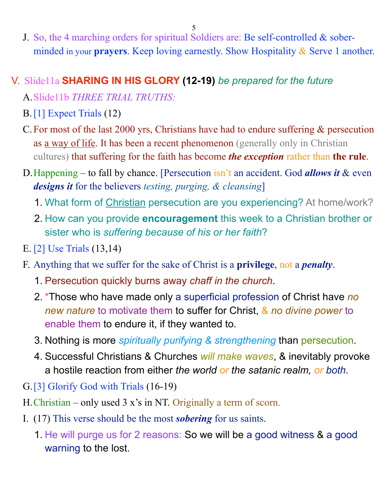J. So, the 4 marching orders for spiritual Soldiers are: Be self-controlled & soberminded in your **prayers**. Keep loving earnestly. Show Hospitality & Serve 1 another.

# V. Slide11a **SHARING IN HIS GLORY (12-19)** *be prepared for the future*

A.Slide11b *THREE TRIAL TRUTHS:* 

- B.[1] Expect Trials (12)
- C.For most of the last 2000 yrs, Christians have had to endure suffering & persecution as a way of life. It has been a recent phenomenon (generally only in Christian cultures) that suffering for the faith has become *the exception* rather than **the rule**.
- D.Happening to fall by chance. [Persecution isn't an accident. God *allows it* & even *designs it* for the believers *testing, purging, & cleansing*]
	- 1. What form of Christian persecution are you experiencing? At home/work?
	- 2. How can you provide **encouragement** this week to a Christian brother or sister who is *suffering because of his or her faith*?
- E. [2] Use Trials (13,14)
- F. Anything that we suffer for the sake of Christ is a **privilege**, not a *penalty*.
	- 1. Persecution quickly burns away *chaff in the church*.
	- 2. \*Those who have made only a superficial profession of Christ have *no new nature* to motivate them to suffer for Christ, & *no divine power* to enable them to endure it, if they wanted to.
	- 3. Nothing is more *spiritually purifying & strengthening* than persecution.
	- 4. Successful Christians & Churches *will make waves*, & inevitably provoke a hostile reaction from either *the world or the satanic realm, or both*.
- G.[3] Glorify God with Trials (16-19)
- H.Christian only used 3 x's in NT. Originally a term of scorn.
- I. (17) This verse should be the most *sobering* for us saints.
	- 1. He will purge us for 2 reasons: So we will be a good witness & a good warning to the lost.